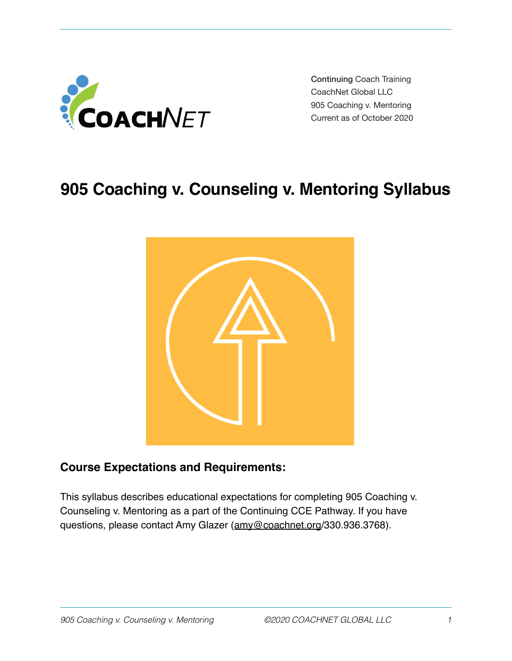

 Continuing Coach Training CoachNet Global LLC 905 Coaching v. Mentoring Current as of October 2020

# **905 Coaching v. Counseling v. Mentoring Syllabus**



# **Course Expectations and Requirements:**

This syllabus describes educational expectations for completing 905 Coaching v. Counseling v. Mentoring as a part of the Continuing CCE Pathway. If you have questions, please contact Amy Glazer [\(amy@coachnet.org](mailto:amy@coachnet.org)/330.936.3768).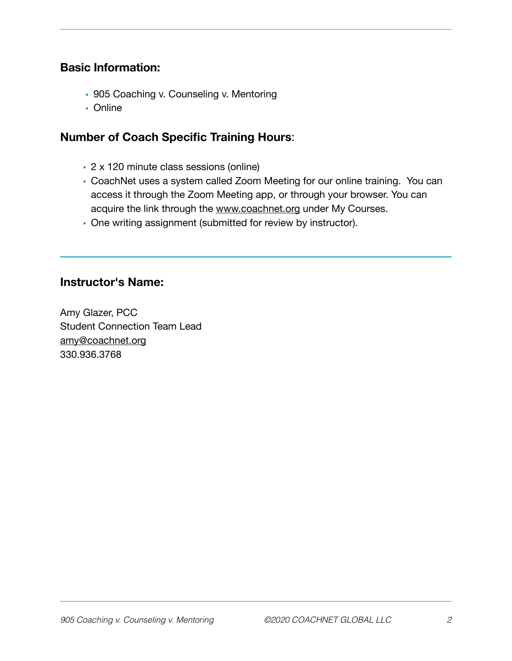# **Basic Information:**

- 905 Coaching v. Counseling v. Mentoring
- Online

#### **Number of Coach Specific Training Hours**:

- 2 x 120 minute class sessions (online)
- CoachNet uses a system called Zoom Meeting for our online training. You can access it through the Zoom Meeting app, or through your browser. You can acquire the link through the [www.coachnet.org](http://www.coachnet.org) under My Courses.
- One writing assignment (submitted for review by instructor).

#### **Instructor's Name:**

Amy Glazer, PCC Student Connection Team Lead [amy@coachnet.org](mailto:amy@coachnet.org) 330.936.3768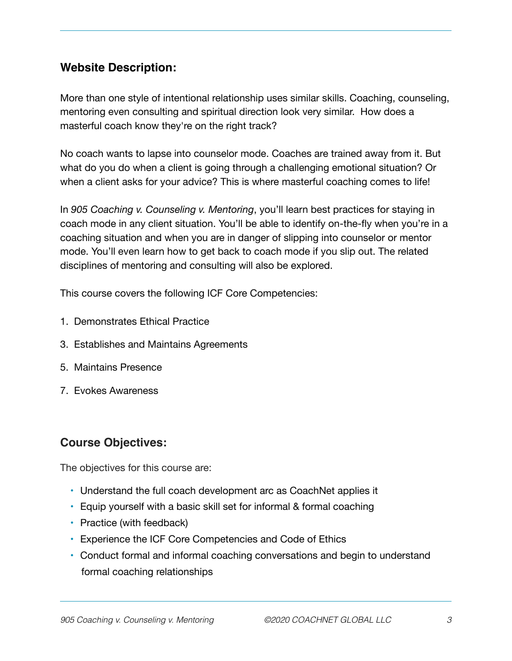# **Website Description:**

More than one style of intentional relationship uses similar skills. Coaching, counseling, mentoring even consulting and spiritual direction look very similar. How does a masterful coach know they're on the right track?

No coach wants to lapse into counselor mode. Coaches are trained away from it. But what do you do when a client is going through a challenging emotional situation? Or when a client asks for your advice? This is where masterful coaching comes to life!

In *905 Coaching v. Counseling v. Mentoring*, you'll learn best practices for staying in coach mode in any client situation. You'll be able to identify on-the-fly when you're in a coaching situation and when you are in danger of slipping into counselor or mentor mode. You'll even learn how to get back to coach mode if you slip out. The related disciplines of mentoring and consulting will also be explored.

This course covers the following ICF Core Competencies:

- 1. Demonstrates Ethical Practice
- 3. Establishes and Maintains Agreements
- 5. Maintains Presence
- 7. Evokes Awareness

# **Course Objectives:**

The objectives for this course are:

- Understand the full coach development arc as CoachNet applies it
- Equip yourself with a basic skill set for informal & formal coaching
- Practice (with feedback)
- Experience the ICF Core Competencies and Code of Ethics
- Conduct formal and informal coaching conversations and begin to understand formal coaching relationships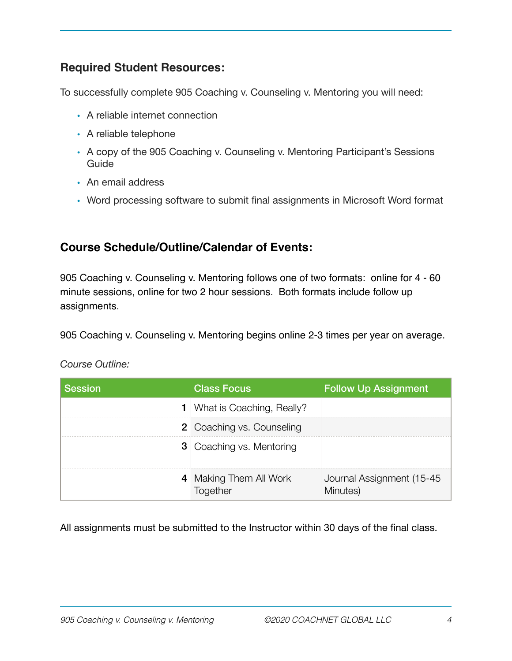# **Required Student Resources:**

To successfully complete 905 Coaching v. Counseling v. Mentoring you will need:

- A reliable internet connection
- A reliable telephone
- A copy of the 905 Coaching v. Counseling v. Mentoring Participant's Sessions Guide
- An email address
- Word processing software to submit final assignments in Microsoft Word format

# **Course Schedule/Outline/Calendar of Events:**

905 Coaching v. Counseling v. Mentoring follows one of two formats: online for 4 - 60 minute sessions, online for two 2 hour sessions. Both formats include follow up assignments.

905 Coaching v. Counseling v. Mentoring begins online 2-3 times per year on average.

| Course Outline: |
|-----------------|
|                 |

| <b>Session</b> | <b>Class Focus</b>                 | <b>Follow Up Assignment</b>            |
|----------------|------------------------------------|----------------------------------------|
|                | <b>1</b> What is Coaching, Really? |                                        |
|                | <b>2</b> Coaching vs. Counseling   |                                        |
|                | <b>3</b> Coaching vs. Mentoring    |                                        |
|                | 4 Making Them All Work             | Journal Assignment (15-45)<br>Minutes) |

All assignments must be submitted to the Instructor within 30 days of the final class.